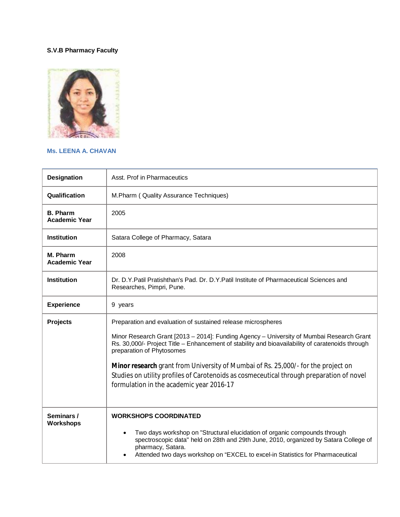## **S.V.B Pharmacy Faculty**



## **Ms. LEENA A. CHAVAN**

| <b>Designation</b>                      | Asst. Prof in Pharmaceutics                                                                                                                                                                                                                                              |
|-----------------------------------------|--------------------------------------------------------------------------------------------------------------------------------------------------------------------------------------------------------------------------------------------------------------------------|
| Qualification                           | M.Pharm (Quality Assurance Techniques)                                                                                                                                                                                                                                   |
| <b>B. Pharm</b><br><b>Academic Year</b> | 2005                                                                                                                                                                                                                                                                     |
| <b>Institution</b>                      | Satara College of Pharmacy, Satara                                                                                                                                                                                                                                       |
| M. Pharm<br><b>Academic Year</b>        | 2008                                                                                                                                                                                                                                                                     |
| <b>Institution</b>                      | Dr. D.Y.Patil Pratishthan's Pad. Dr. D.Y.Patil Institute of Pharmaceutical Sciences and<br>Researches, Pimpri, Pune.                                                                                                                                                     |
| <b>Experience</b>                       | 9 years                                                                                                                                                                                                                                                                  |
| <b>Projects</b>                         | Preparation and evaluation of sustained release microspheres                                                                                                                                                                                                             |
|                                         | Minor Research Grant [2013 - 2014]: Funding Agency - University of Mumbai Research Grant<br>Rs. 30,000/- Project Title - Enhancement of stability and bioavailability of caratenoids through<br>preparation of Phytosomes                                                |
|                                         | Minor research grant from University of Mumbai of Rs. 25,000/- for the project on<br>Studies on utility profiles of Carotenoids as cosmeceutical through preparation of novel<br>formulation in the academic year 2016-17                                                |
| Seminars /<br><b>Workshops</b>          | <b>WORKSHOPS COORDINATED</b>                                                                                                                                                                                                                                             |
|                                         | Two days workshop on "Structural elucidation of organic compounds through<br>spectroscopic data" held on 28th and 29th June, 2010, organized by Satara College of<br>pharmacy, Satara.<br>Attended two days workshop on "EXCEL to excel-in Statistics for Pharmaceutical |